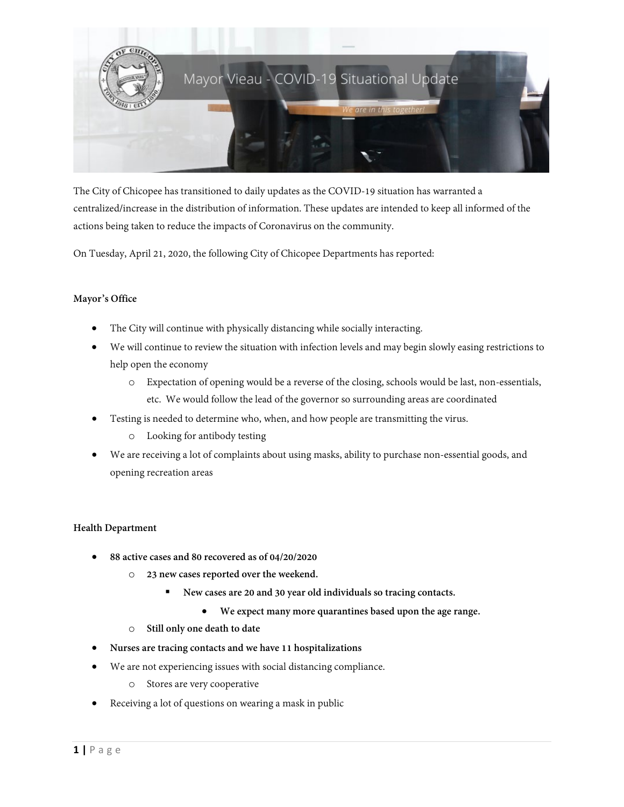

The City of Chicopee has transitioned to daily updates as the COVID-19 situation has warranted a centralized/increase in the distribution of information. These updates are intended to keep all informed of the actions being taken to reduce the impacts of Coronavirus on the community.

On Tuesday, April 21, 2020, the following City of Chicopee Departments has reported:

## **Mayor's Office**

- The City will continue with physically distancing while socially interacting.
- We will continue to review the situation with infection levels and may begin slowly easing restrictions to help open the economy
	- o Expectation of opening would be a reverse of the closing, schools would be last, non-essentials, etc. We would follow the lead of the governor so surrounding areas are coordinated
- Testing is needed to determine who, when, and how people are transmitting the virus.
	- o Looking for antibody testing
- We are receiving a lot of complaints about using masks, ability to purchase non-essential goods, and opening recreation areas

## **Health Department**

- **88 active cases and 80 recovered as of 04/20/2020** 
	- o **23 new cases reported over the weekend.** 
		- **New cases are 20 and 30 year old individuals so tracing contacts.** 
			- **We expect many more quarantines based upon the age range.**
	- o **Still only one death to date**
- **Nurses are tracing contacts and we have 11 hospitalizations**
- We are not experiencing issues with social distancing compliance.
	- o Stores are very cooperative
- Receiving a lot of questions on wearing a mask in public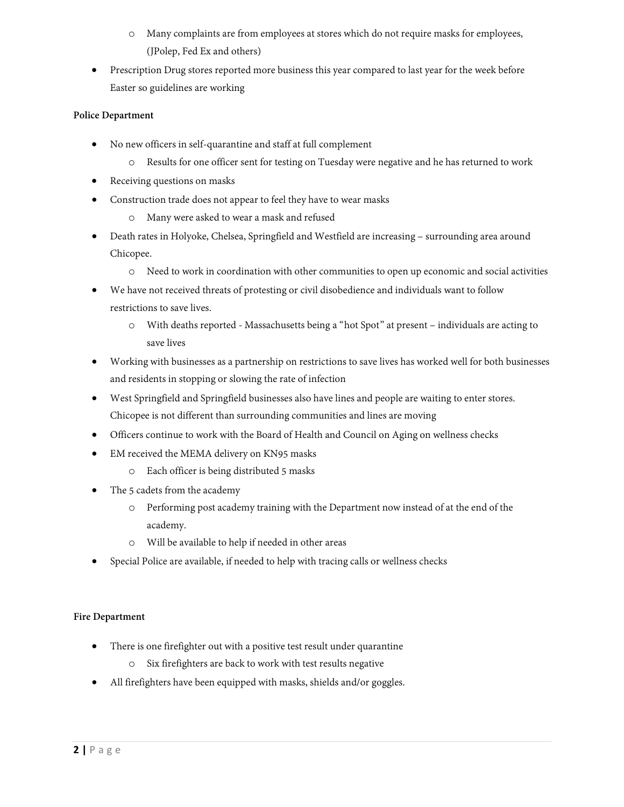- o Many complaints are from employees at stores which do not require masks for employees, (JPolep, Fed Ex and others)
- Prescription Drug stores reported more business this year compared to last year for the week before Easter so guidelines are working

# **Police Department**

- No new officers in self-quarantine and staff at full complement
	- o Results for one officer sent for testing on Tuesday were negative and he has returned to work
- Receiving questions on masks
- Construction trade does not appear to feel they have to wear masks
	- o Many were asked to wear a mask and refused
- Death rates in Holyoke, Chelsea, Springfield and Westfield are increasing surrounding area around Chicopee.
	- o Need to work in coordination with other communities to open up economic and social activities
- We have not received threats of protesting or civil disobedience and individuals want to follow restrictions to save lives.
	- o With deaths reported Massachusetts being a "hot Spot" at present individuals are acting to save lives
- Working with businesses as a partnership on restrictions to save lives has worked well for both businesses and residents in stopping or slowing the rate of infection
- West Springfield and Springfield businesses also have lines and people are waiting to enter stores. Chicopee is not different than surrounding communities and lines are moving
- Officers continue to work with the Board of Health and Council on Aging on wellness checks
- EM received the MEMA delivery on KN95 masks
	- o Each officer is being distributed 5 masks
- The 5 cadets from the academy
	- o Performing post academy training with the Department now instead of at the end of the academy.
	- o Will be available to help if needed in other areas
- Special Police are available, if needed to help with tracing calls or wellness checks

## **Fire Department**

- There is one firefighter out with a positive test result under quarantine
	- o Six firefighters are back to work with test results negative
- All firefighters have been equipped with masks, shields and/or goggles.